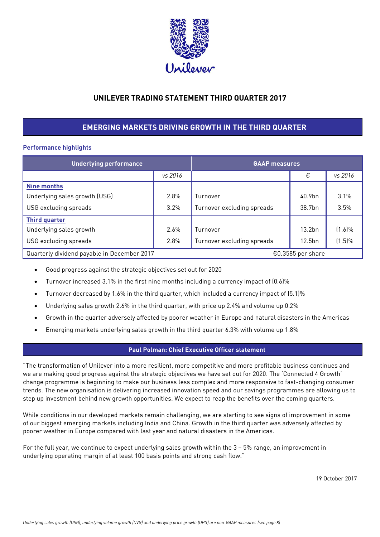

# **UNILEVER TRADING STATEMENT THIRD QUARTER 2017**

# **EMERGING MARKETS DRIVING GROWTH IN THE THIRD QUARTER**

# **Performance highlights**

| <b>Underlying performance</b>               | <b>GAAP measures</b> |                            |                    |           |
|---------------------------------------------|----------------------|----------------------------|--------------------|-----------|
|                                             | vs 2016              |                            | €                  | vs 2016   |
| <b>Nine months</b>                          |                      |                            |                    |           |
| Underlying sales growth (USG)               | 2.8%                 | Turnover                   | 40.9bn             | 3.1%      |
| USG excluding spreads                       | 3.2%                 | Turnover excluding spreads | 38.7bn             | 3.5%      |
| <b>Third quarter</b>                        |                      |                            |                    |           |
| Underlying sales growth                     | 2.6%                 | Turnover                   | 13.2 <sub>bn</sub> | $(1.6)\%$ |
| USG excluding spreads                       | 2.8%                 | Turnover excluding spreads | 12.5 <sub>bn</sub> | $(1.5)\%$ |
| Quarterly dividend payable in December 2017 |                      |                            | €0.3585 per share  |           |

- Good progress against the strategic objectives set out for 2020
- Turnover increased 3.1% in the first nine months including a currency impact of (0.6)%
- Turnover decreased by 1.6% in the third quarter, which included a currency impact of (5.1)%
- Underlying sales growth 2.6% in the third quarter, with price up 2.4% and volume up 0.2%
- Growth in the quarter adversely affected by poorer weather in Europe and natural disasters in the Americas
- Emerging markets underlying sales growth in the third quarter 6.3% with volume up 1.8%

### **Paul Polman: Chief Executive Officer statement**

"The transformation of Unilever into a more resilient, more competitive and more profitable business continues and we are making good progress against the strategic objectives we have set out for 2020. The 'Connected 4 Growth' change programme is beginning to make our business less complex and more responsive to fast-changing consumer trends. The new organisation is delivering increased innovation speed and our savings programmes are allowing us to step up investment behind new growth opportunities. We expect to reap the benefits over the coming quarters.

While conditions in our developed markets remain challenging, we are starting to see signs of improvement in some of our biggest emerging markets including India and China. Growth in the third quarter was adversely affected by poorer weather in Europe compared with last year and natural disasters in the Americas.

For the full year, we continue to expect underlying sales growth within the 3 – 5% range, an improvement in underlying operating margin of at least 100 basis points and strong cash flow."

19 October 2017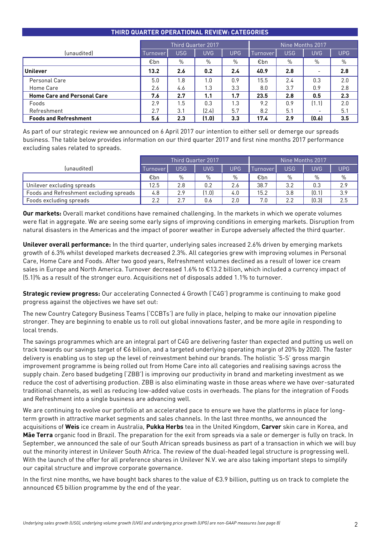| THIND QUANTEN OF ENATIONAL NEVIEW: CATEGONIES |                                                                              |      |                    |      |      |                  |                          |            |  |
|-----------------------------------------------|------------------------------------------------------------------------------|------|--------------------|------|------|------------------|--------------------------|------------|--|
|                                               |                                                                              |      | Third Quarter 2017 |      |      | Nine Months 2017 |                          |            |  |
| (unaudited)                                   | <b>USG</b><br><b>USG</b><br><b>UVG</b><br><b>UPG</b><br>Turnover<br>Turnover |      |                    |      |      |                  | <b>UVG</b>               | <b>UPG</b> |  |
|                                               | €bn                                                                          | $\%$ | $\%$               | $\%$ | €bn  | $\%$             | %                        | $\%$       |  |
| <b>Unilever</b>                               | 13.2                                                                         | 2.6  | 0.2                | 2.4  | 40.9 | 2.8              | $\overline{\phantom{0}}$ | 2.8        |  |
| Personal Care                                 | 5.0                                                                          | 1.8  | 1.0                | 0.9  | 15.5 | 2.4              | 0.3                      | 2.0        |  |
| Home Care                                     | 2.6                                                                          | 4.6  | 1.3                | 3.3  | 8.0  | 3.7              | 0.9                      | 2.8        |  |
| <b>Home Care and Personal Care</b>            | 7.6                                                                          | 2.7  | 1.1                | 1.7  | 23.5 | 2.8              | 0.5                      | 2.3        |  |
| Foods                                         | 2.9                                                                          | 1.5  | 0.3                | 1.3  | 9.2  | 0.9              | (1.1)                    | 2.0        |  |
| Refreshment                                   | 2.7                                                                          | 3.1  | (2.4)              | 5.7  | 8.2  | 5.1              | $\overline{\phantom{0}}$ | 5.1        |  |
| <b>Foods and Refreshment</b>                  | 5.6<br>(0.6)<br>(1.0)<br>2.3<br>3.3<br>17.4<br>2.9                           |      |                    |      |      |                  | 3.5                      |            |  |

## **THIRD QUARTER OPERATIONAL REVIEW: CATEGORIES**

As part of our strategic review we announced on 6 April 2017 our intention to either sell or demerge our spreads business. The table below provides information on our third quarter 2017 and first nine months 2017 performance excluding sales related to spreads.

|                                         | <b>Third Quarter 2017</b> |      |       |            | Nine Months 2017 |               |               |            |
|-----------------------------------------|---------------------------|------|-------|------------|------------------|---------------|---------------|------------|
| (unaudited)                             | Turnover                  | USG. | UVG.  | <b>UPG</b> | Turnover         | USG           | <b>JVG</b>    | <b>UPG</b> |
|                                         | €bn                       | $\%$ | $\%$  | $\%$       | €bn              | $\frac{0}{0}$ | $\frac{0}{0}$ | $\%$       |
| Unilever excluding spreads              | 12.5                      | 2.8  | 0.2   | 2.6        | 38.7             | 3.2           | 0.3           | 2.9        |
| Foods and Refreshment excluding spreads | 4.8                       | 2.9  | (1.0) | 4.0        | 15.2             | 3.8           | (0.1)         | 3.9        |
| Foods excluding spreads                 | 2.2                       | 2.7  | 0.6   | 2.0        | 7.0              | 2.2           | [0.3]         | 2.5        |

**Our markets:** Overall market conditions have remained challenging. In the markets in which we operate volumes were flat in aggregate. We are seeing some early signs of improving conditions in emerging markets. Disruption from natural disasters in the Americas and the impact of poorer weather in Europe adversely affected the third quarter.

**Unilever overall performance:** In the third quarter, underlying sales increased 2.6% driven by emerging markets growth of 6.3% whilst developed markets decreased 2.3%. All categories grew with improving volumes in Personal Care, Home Care and Foods. After two good years, Refreshment volumes declined as a result of lower ice cream sales in Europe and North America. Turnover decreased 1.6% to €13.2 billion, which included a currency impact of (5.1)% as a result of the stronger euro. Acquisitions net of disposals added 1.1% to turnover.

**Strategic review progress:** Our accelerating Connected 4 Growth ('C4G') programme is continuing to make good progress against the objectives we have set out:

The new Country Category Business Teams ('CCBTs') are fully in place, helping to make our innovation pipeline stronger. They are beginning to enable us to roll out global innovations faster, and be more agile in responding to local trends.

The savings programmes which are an integral part of C4G are delivering faster than expected and putting us well on track towards our savings target of €6 billion, and a targeted underlying operating margin of 20% by 2020. The faster delivery is enabling us to step up the level of reinvestment behind our brands. The holistic '5-S' gross margin improvement programme is being rolled out from Home Care into all categories and realising savings across the supply chain. Zero based budgeting ('ZBB') is improving our productivity in brand and marketing investment as we reduce the cost of advertising production. ZBB is also eliminating waste in those areas where we have over-saturated traditional channels, as well as reducing low-added value costs in overheads. The plans for the integration of Foods and Refreshment into a single business are advancing well.

We are continuing to evolve our portfolio at an accelerated pace to ensure we have the platforms in place for longterm growth in attractive market segments and sales channels. In the last three months, we announced the acquisitions of **Weis** ice cream in Australia, **Pukka Herbs** tea in the United Kingdom, **Carver** skin care in Korea, and **Mãe Terra** organic food in Brazil. The preparation for the exit from spreads via a sale or demerger is fully on track. In September, we announced the sale of our South African spreads business as part of a transaction in which we will buy out the minority interest in Unilever South Africa. The review of the dual-headed legal structure is progressing well. With the launch of the offer for all preference shares in Unilever N.V. we are also taking important steps to simplify our capital structure and improve corporate governance.

In the first nine months, we have bought back shares to the value of €3.9 billion, putting us on track to complete the announced €5 billion programme by the end of the year.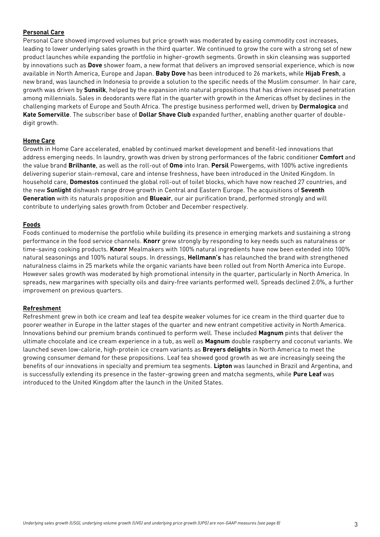# **Personal Care**

Personal Care showed improved volumes but price growth was moderated by easing commodity cost increases, leading to lower underlying sales growth in the third quarter. We continued to grow the core with a strong set of new product launches while expanding the portfolio in higher-growth segments. Growth in skin cleansing was supported by innovations such as **Dove** shower foam, a new format that delivers an improved sensorial experience, which is now available in North America, Europe and Japan. **Baby Dove** has been introduced to 26 markets, while **Hijab Fresh**, a new brand, was launched in Indonesia to provide a solution to the specific needs of the Muslim consumer. In hair care, growth was driven by **Sunsilk**, helped by the expansion into natural propositions that has driven increased penetration among millennials. Sales in deodorants were flat in the quarter with growth in the Americas offset by declines in the challenging markets of Europe and South Africa. The prestige business performed well, driven by **Dermalogica** and **Kate Somerville**. The subscriber base of **Dollar Shave Club** expanded further, enabling another quarter of doubledigit growth.

### **Home Care**

Growth in Home Care accelerated, enabled by continued market development and benefit-led innovations that address emerging needs. In laundry, growth was driven by strong performances of the fabric conditioner **Comfort** and the value brand **Brilhante**, as well as the roll-out of **Omo** into Iran. **Persil** Powergems, with 100% active ingredients delivering superior stain-removal, care and intense freshness, have been introduced in the United Kingdom. In household care, **Domestos** continued the global roll-out of toilet blocks, which have now reached 27 countries, and the new **Sunlight** dishwash range drove growth in Central and Eastern Europe. The acquisitions of **Seventh Generation** with its naturals proposition and **Blueair**, our air purification brand, performed strongly and will contribute to underlying sales growth from October and December respectively.

### **Foods**

Foods continued to modernise the portfolio while building its presence in emerging markets and sustaining a strong performance in the food service channels. **Knorr** grew strongly by responding to key needs such as naturalness or time-saving cooking products. **Knorr** Mealmakers with 100% natural ingredients have now been extended into 100% natural seasonings and 100% natural soups. In dressings, **Hellmann's** has relaunched the brand with strengthened naturalness claims in 25 markets while the organic variants have been rolled out from North America into Europe. However sales growth was moderated by high promotional intensity in the quarter, particularly in North America. In spreads, new margarines with specialty oils and dairy-free variants performed well. Spreads declined 2.0%, a further improvement on previous quarters.

### **Refreshment**

Refreshment grew in both ice cream and leaf tea despite weaker volumes for ice cream in the third quarter due to poorer weather in Europe in the latter stages of the quarter and new entrant competitive activity in North America. Innovations behind our premium brands continued to perform well. These included **Magnum** pints that deliver the ultimate chocolate and ice cream experience in a tub, as well as **Magnum** double raspberry and coconut variants. We launched seven low-calorie, high-protein ice cream variants as **Breyers delights** in North America to meet the growing consumer demand for these propositions. Leaf tea showed good growth as we are increasingly seeing the benefits of our innovations in specialty and premium tea segments. **Lipton** was launched in Brazil and Argentina, and is successfully extending its presence in the faster-growing green and matcha segments, while **Pure Leaf** was introduced to the United Kingdom after the launch in the United States.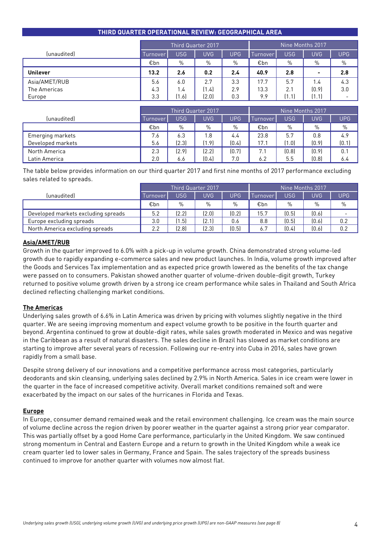|                 | Third Quarter 2017 |            |            |      | Nine Months 2017' |            |            |                          |
|-----------------|--------------------|------------|------------|------|-------------------|------------|------------|--------------------------|
| (unaudited)     | Turnover           | <b>USG</b> | <b>UVG</b> | UPG  | Turnover          | <b>USG</b> | <b>UVG</b> | <b>UPG</b>               |
|                 | €bn                | $\%$       | $\%$       | $\%$ | €bn               | $\%$       | $\%$       | %                        |
| <b>Unilever</b> | 13.2               | 2.6        | 0.2        | 2.4  | 40.9              | 2.8        |            | 2.8                      |
| Asia/AMET/RUB   | 5.6                | 6.0        | 2.7        | 3.3  | 17.7              | 5.7        | 1.4        | 4.3                      |
| The Americas    | 4.3                | 1.4        | (1.4)      | 2.9  | 13.3              | 2.1        | [0.9]      | 3.0                      |
| Europe          | 3.3                | (1.6)      | (2.0)      | 0.3  | 9.9               | 1.1        | (1.1)      | $\overline{\phantom{0}}$ |

|                   | Third Quarter 2017 |            |       |       | Nine Months 2017 |            |       |            |
|-------------------|--------------------|------------|-------|-------|------------------|------------|-------|------------|
| (unaudited)       | <b>Turnover</b>    | <b>USG</b> | UVG.  | UPG   | Turnover         | <b>USG</b> | UVG   | <b>UPG</b> |
|                   | €bn                | %          | %     | $\%$  | €bn              | %          | %     | $\%$       |
| Emerging markets  | 7.6                | 6.3        | 1.8   | 4.4   | 23.8             | 5.7        | 0.8   | 4.9        |
| Developed markets | 5.6                | (2.3)      | (1.9) | [0.4] | 17.1             | (1.0)      | [0.9] | (0.1)      |
| North America     | 2.3                | (2.9)      | (2.2) | (0.7) | 7.1              | (0.8)      | [0.9] | 0.1        |
| Latin America     | 2.0                | 6.6        | (0.4) | 7.0   | 6.2              | 5.5        | (0.8) | 6.4        |

The table below provides information on our third quarter 2017 and first nine months of 2017 performance excluding sales related to spreads.

|                                     | Third Quarter 2017 |               |       |            | Nine Months 2017 |       |       |            |
|-------------------------------------|--------------------|---------------|-------|------------|------------------|-------|-------|------------|
| (unaudited)                         | Turnover           | <b>USG</b>    | UVG   | <b>UPG</b> | Turnover         | USG   | UVG   | <b>UPG</b> |
|                                     | €bn                | $\frac{0}{0}$ | $\%$  | $\%$       | €bn              | $\%$  | $\%$  | $\%$       |
| Developed markets excluding spreads | 5.2                | (2.2)         | (2.0) | (0.2)      | 15.7             | (0.5) | (0.6) |            |
| Europe excluding spreads            | 3.0                | (1.5)         | (2.1) | 0.6        | 8.8              | (0.5) | (0.6) | 0.2        |
| North America excluding spreads     | 2.2                | (2.8)         | [2.3] | (0.5)      | 6.7              | (0.4) | [0.6] | 0.2        |

#### **Asia/AMET/RUB**

Growth in the quarter improved to 6.0% with a pick-up in volume growth. China demonstrated strong volume-led growth due to rapidly expanding e-commerce sales and new product launches. In India, volume growth improved after the Goods and Services Tax implementation and as expected price growth lowered as the benefits of the tax change were passed on to consumers. Pakistan showed another quarter of volume-driven double-digit growth, Turkey returned to positive volume growth driven by a strong ice cream performance while sales in Thailand and South Africa declined reflecting challenging market conditions.

### **The Americas**

Underlying sales growth of 6.6% in Latin America was driven by pricing with volumes slightly negative in the third quarter. We are seeing improving momentum and expect volume growth to be positive in the fourth quarter and beyond. Argentina continued to grow at double-digit rates, while sales growth moderated in Mexico and was negative in the Caribbean as a result of natural disasters. The sales decline in Brazil has slowed as market conditions are starting to improve after several years of recession. Following our re-entry into Cuba in 2016, sales have grown rapidly from a small base.

Despite strong delivery of our innovations and a competitive performance across most categories, particularly deodorants and skin cleansing, underlying sales declined by 2.9% in North America. Sales in ice cream were lower in the quarter in the face of increased competitive activity. Overall market conditions remained soft and were exacerbated by the impact on our sales of the hurricanes in Florida and Texas.

#### **Europe**

In Europe, consumer demand remained weak and the retail environment challenging. Ice cream was the main source of volume decline across the region driven by poorer weather in the quarter against a strong prior year comparator. This was partially offset by a good Home Care performance, particularly in the United Kingdom. We saw continued strong momentum in Central and Eastern Europe and a return to growth in the United Kingdom while a weak ice cream quarter led to lower sales in Germany, France and Spain. The sales trajectory of the spreads business continued to improve for another quarter with volumes now almost flat.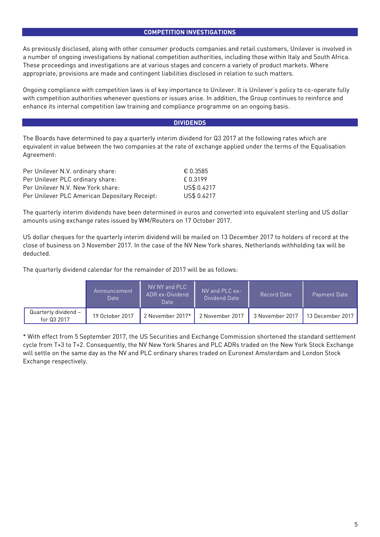#### **COMPETITION INVESTIGATIONS**

As previously disclosed, along with other consumer products companies and retail customers, Unilever is involved in a number of ongoing investigations by national competition authorities, including those within Italy and South Africa. These proceedings and investigations are at various stages and concern a variety of product markets. Where appropriate, provisions are made and contingent liabilities disclosed in relation to such matters.

Ongoing compliance with competition laws is of key importance to Unilever. It is Unilever's policy to co-operate fully with competition authorities whenever questions or issues arise. In addition, the Group continues to reinforce and enhance its internal competition law training and compliance programme on an ongoing basis.

#### **DIVIDENDS**

The Boards have determined to pay a quarterly interim dividend for Q3 2017 at the following rates which are equivalent in value between the two companies at the rate of exchange applied under the terms of the Equalisation Agreement:

| Per Unilever N.V. ordinary share:             | € 0.3585    |
|-----------------------------------------------|-------------|
| Per Unilever PLC ordinary share:              | f 0.3199    |
| Per Unilever N.V. New York share:             | US\$ 0.4217 |
| Per Unilever PLC American Depositary Receipt: | US\$ 0.4217 |

The quarterly interim dividends have been determined in euros and converted into equivalent sterling and US dollar amounts using exchange rates issued by WM/Reuters on 17 October 2017.

US dollar cheques for the quarterly interim dividend will be mailed on 13 December 2017 to holders of record at the close of business on 3 November 2017. In the case of the NV New York shares, Netherlands withholding tax will be deducted.

The quarterly dividend calendar for the remainder of 2017 will be as follows:

|                                     | 'Announcement<br><b>Date</b> | NV NY and PLC<br>ADR ex-Dividend<br>Date | NV and PLC ex-<br>Dividend Date | Record Date     | Payment Date     |
|-------------------------------------|------------------------------|------------------------------------------|---------------------------------|-----------------|------------------|
| Quarterly dividend –<br>for Q3 2017 | 19 October 2017              | 2 November 2017*                         | 2 November 2017                 | 3 November 2017 | 13 December 2017 |

\* With effect from 5 September 2017, the US Securities and Exchange Commission shortened the standard settlement cycle from T+3 to T+2. Consequently, the NV New York Shares and PLC ADRs traded on the New York Stock Exchange will settle on the same day as the NV and PLC ordinary shares traded on Euronext Amsterdam and London Stock Exchange respectively.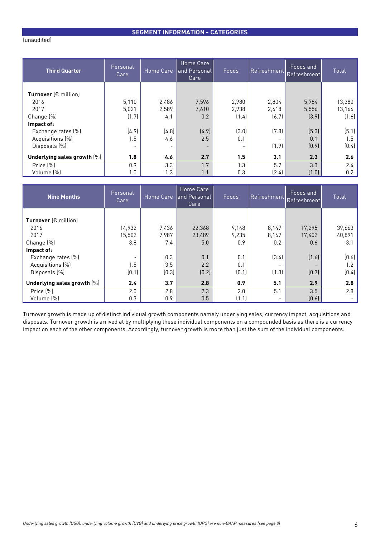# **SEGMENT INFORMATION - CATEGORIES**

| <b>Third Quarter</b>                                                  | Personal<br>Care | Home Care      | Home Care<br>and Personal<br>Care        | Foods                                    | Refreshment    | Foods and<br><b>Refreshment</b> | Total                 |
|-----------------------------------------------------------------------|------------------|----------------|------------------------------------------|------------------------------------------|----------------|---------------------------------|-----------------------|
| <b>Turnover</b> ( $\epsilon$ million)<br>2016<br>2017                 | 5,110<br>5,021   | 2,486<br>2,589 | 7,596<br>7,610                           | 2,980<br>2,938                           | 2,804<br>2,618 | 5,784<br>5,556                  | 13,380<br>13,166      |
| Change (%)                                                            | (1.7)            | 4.1            | 0.2                                      | (1.4)                                    | (6.7)          | (3.9)                           | (1.6)                 |
| Impact of:<br>Exchange rates (%)<br>Acquisitions (%)<br>Disposals (%) | (4.9)<br>1.5     | (4.8)<br>4.6   | (4.9)<br>2.5<br>$\overline{\phantom{0}}$ | (3.0)<br>0.1<br>$\overline{\phantom{a}}$ | (7.8)<br>(1.9) | (5.3)<br>0.1<br>(0.9)           | (5.1)<br>1.5<br>(0.4) |
| Underlying sales growth [%]                                           | 1.8              | 4.6            | 2.7                                      | 1.5                                      | 3.1            | 2.3                             | 2.6                   |
| Price (%)<br>Volume (%)                                               | 0.9<br>1.0       | 3.3<br>1.3     | 1.7<br>1.1                               | 1.3<br>0.3                               | 5.7<br>(2.4)   | 3.3<br>(1.0)                    | 2.4<br>0.2            |

| <b>Nine Months</b>            | Personal<br>Care | Home Care | Home Care<br>and Personal<br>Care | Foods | Refreshment | Foods and<br><b>Refreshment</b> | Total  |
|-------------------------------|------------------|-----------|-----------------------------------|-------|-------------|---------------------------------|--------|
|                               |                  |           |                                   |       |             |                                 |        |
| Turnover $(\epsilon$ million) |                  |           |                                   |       |             |                                 |        |
| 2016                          | 14,932           | 7,436     | 22,368                            | 9,148 | 8,147       | 17,295                          | 39,663 |
| 2017                          | 15,502           | 7.987     | 23,489                            | 9,235 | 8,167       | 17,402                          | 40,891 |
| Change (%)                    | 3.8              | 7.4       | 5.0                               | 0.9   | 0.2         | 0.6                             | 3.1    |
| Impact of:                    |                  |           |                                   |       |             |                                 |        |
| Exchange rates (%)            |                  | 0.3       | 0.1                               | 0.1   | (3.4)       | (1.6)                           | [0.6]  |
| Acquisitions (%)              | 1.5              | 3.5       | 2.2                               | 0.1   |             |                                 | 1.2    |
| Disposals (%)                 | (0.1)            | (0.3)     | (0.2)                             | (0.1) | (1.3)       | (0.7)                           | (0.4)  |
| Underlying sales growth [%]   | 2.4              | 3.7       | 2.8                               | 0.9   | 5.1         | 2.9                             | 2.8    |
| Price (%)                     | 2.0              | 2.8       | 2.3                               | 2.0   | 5.1         | 3.5                             | 2.8    |
| Volume (%)                    | 0.3              | 0.9       | 0.5                               | (1.1) |             | [0.6]                           |        |

Turnover growth is made up of distinct individual growth components namely underlying sales, currency impact, acquisitions and disposals. Turnover growth is arrived at by multiplying these individual components on a compounded basis as there is a currency impact on each of the other components. Accordingly, turnover growth is more than just the sum of the individual components.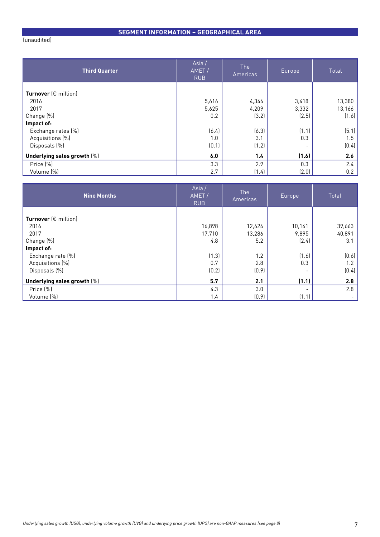# (unaudited)

| <b>Third Quarter</b>        | Asia/<br>AMET/<br><b>RUB</b> | <b>The</b><br>Americas | Europe | Total  |
|-----------------------------|------------------------------|------------------------|--------|--------|
| Turnover (€ million)        |                              |                        |        |        |
| 2016                        | 5,616                        | 4,346                  | 3,418  | 13,380 |
| 2017                        | 5,625                        | 4,209                  | 3,332  | 13,166 |
| Change (%)                  | 0.2                          | (3.2)                  | (2.5)  | (1.6)  |
| Impact of:                  |                              |                        |        |        |
| Exchange rates (%)          | (6.4)                        | (6.3)                  | (1.1)  | (5.1)  |
| Acquisitions (%)            | 1.0                          | 3.1                    | 0.3    | 1.5    |
| Disposals (%)               | (0.1)                        | (1.2)                  |        | (0.4)  |
| Underlying sales growth [%] | 6.0                          | 1.4                    | (1.6)  | 2.6    |
| Price (%)                   | 3.3                          | 2.9                    | 0.3    | 2.4    |
| Volume (%)                  | 2.7                          | (1.4)                  | (2.0)  | 0.2    |

| <b>Nine Months</b>            | Asia/<br>AMET/<br><b>RUB</b> | <b>The</b><br>Americas | Europe, | Total  |
|-------------------------------|------------------------------|------------------------|---------|--------|
| Turnover $(\epsilon$ million) |                              |                        |         |        |
| 2016                          | 16,898                       | 12,624                 | 10,141  | 39,663 |
| 2017                          | 17,710                       | 13,286                 | 9,895   | 40,891 |
| Change (%)                    | 4.8                          | 5.2                    | (2.4)   | 3.1    |
|                               |                              |                        |         |        |
| Impact of:                    |                              |                        |         |        |
| Exchange rate (%)             | (1.3)                        | 1.2                    | (1.6)   | (0.6)  |
| Acquisitions (%)              | 0.7                          | 2.8                    | 0.3     | 1.2    |
| Disposals (%)                 | (0.2)                        | (0.9)                  |         | (0.4)  |
| Underlying sales growth [%]   | 5.7                          | 2.1                    | (1.1)   | 2.8    |
| Price (%)                     | 4.3                          | 3.0                    |         | 2.8    |
| Volume (%)                    | 1.4                          | (0.9)                  | (1.1)   |        |